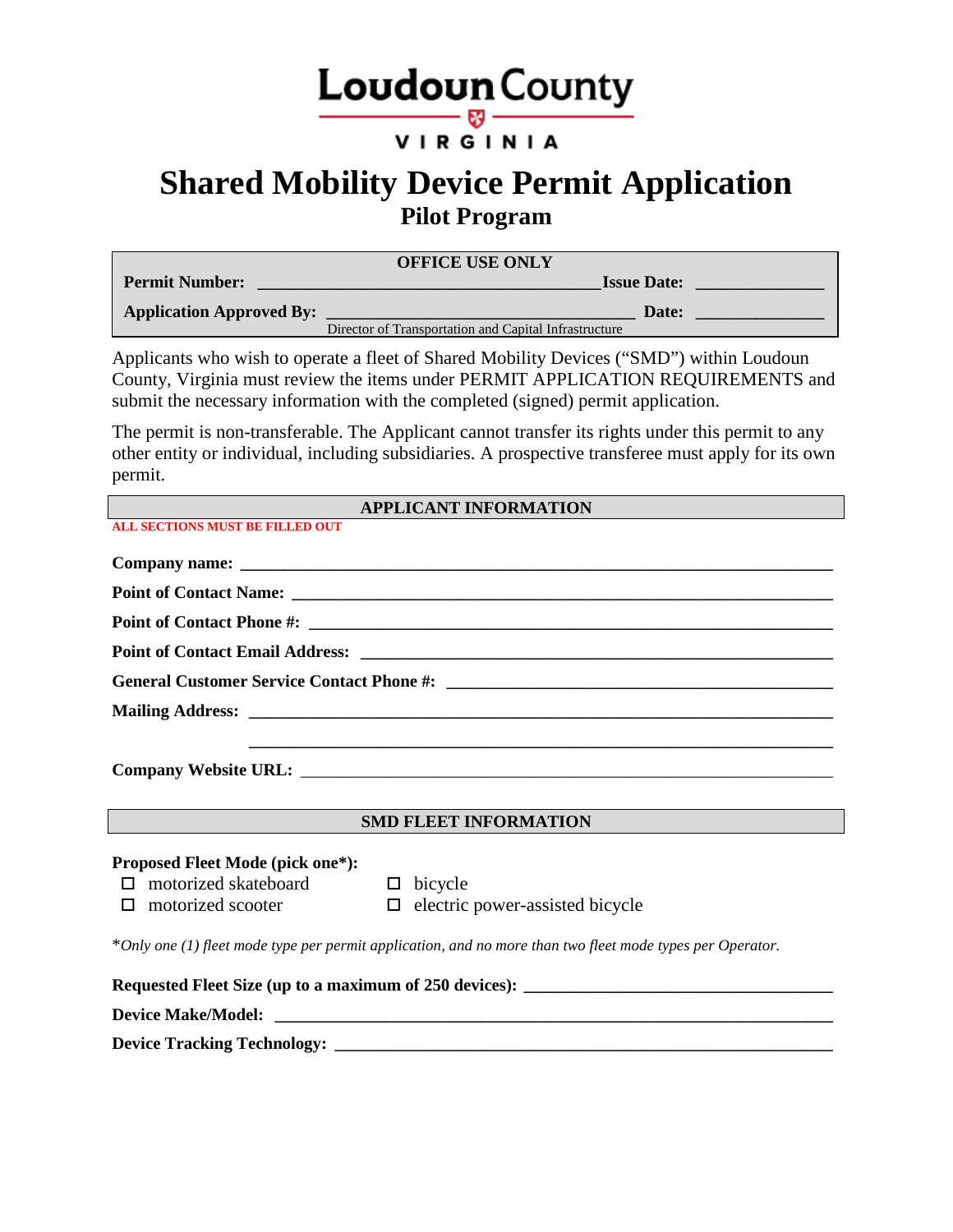# **Loudoun** County

#### VIRGINIA

## **Shared Mobility Device Permit Application Pilot Program**

| <b>OFFICE USE ONLY</b>          |                                                       |  |  |
|---------------------------------|-------------------------------------------------------|--|--|
| <b>Permit Number:</b>           | <b>Issue Date:</b>                                    |  |  |
| <b>Application Approved By:</b> | Date:                                                 |  |  |
|                                 | Director of Transportation and Capital Infrastructure |  |  |

Applicants who wish to operate a fleet of Shared Mobility Devices ("SMD") within Loudoun County, Virginia must review the items under PERMIT APPLICATION REQUIREMENTS and submit the necessary information with the completed (signed) permit application.

The permit is non-transferable. The Applicant cannot transfer its rights under this permit to any other entity or individual, including subsidiaries. A prospective transferee must apply for its own permit.

| <b>APPLICANT INFORMATION</b>            |                                                                                                           |  |  |
|-----------------------------------------|-----------------------------------------------------------------------------------------------------------|--|--|
| <b>ALL SECTIONS MUST BE FILLED OUT</b>  |                                                                                                           |  |  |
|                                         |                                                                                                           |  |  |
|                                         |                                                                                                           |  |  |
|                                         |                                                                                                           |  |  |
|                                         |                                                                                                           |  |  |
|                                         |                                                                                                           |  |  |
|                                         |                                                                                                           |  |  |
|                                         |                                                                                                           |  |  |
|                                         |                                                                                                           |  |  |
|                                         |                                                                                                           |  |  |
|                                         | <b>SMD FLEET INFORMATION</b>                                                                              |  |  |
| <b>Proposed Fleet Mode (pick one*):</b> |                                                                                                           |  |  |
| $\Box$ motorized skateboard             | $\Box$ bicycle                                                                                            |  |  |
| motorized scooter<br>п                  | $\square$ electric power-assisted bicycle                                                                 |  |  |
|                                         | *Only one (1) fleet mode type per permit application, and no more than two fleet mode types per Operator. |  |  |
|                                         |                                                                                                           |  |  |
|                                         |                                                                                                           |  |  |
|                                         |                                                                                                           |  |  |